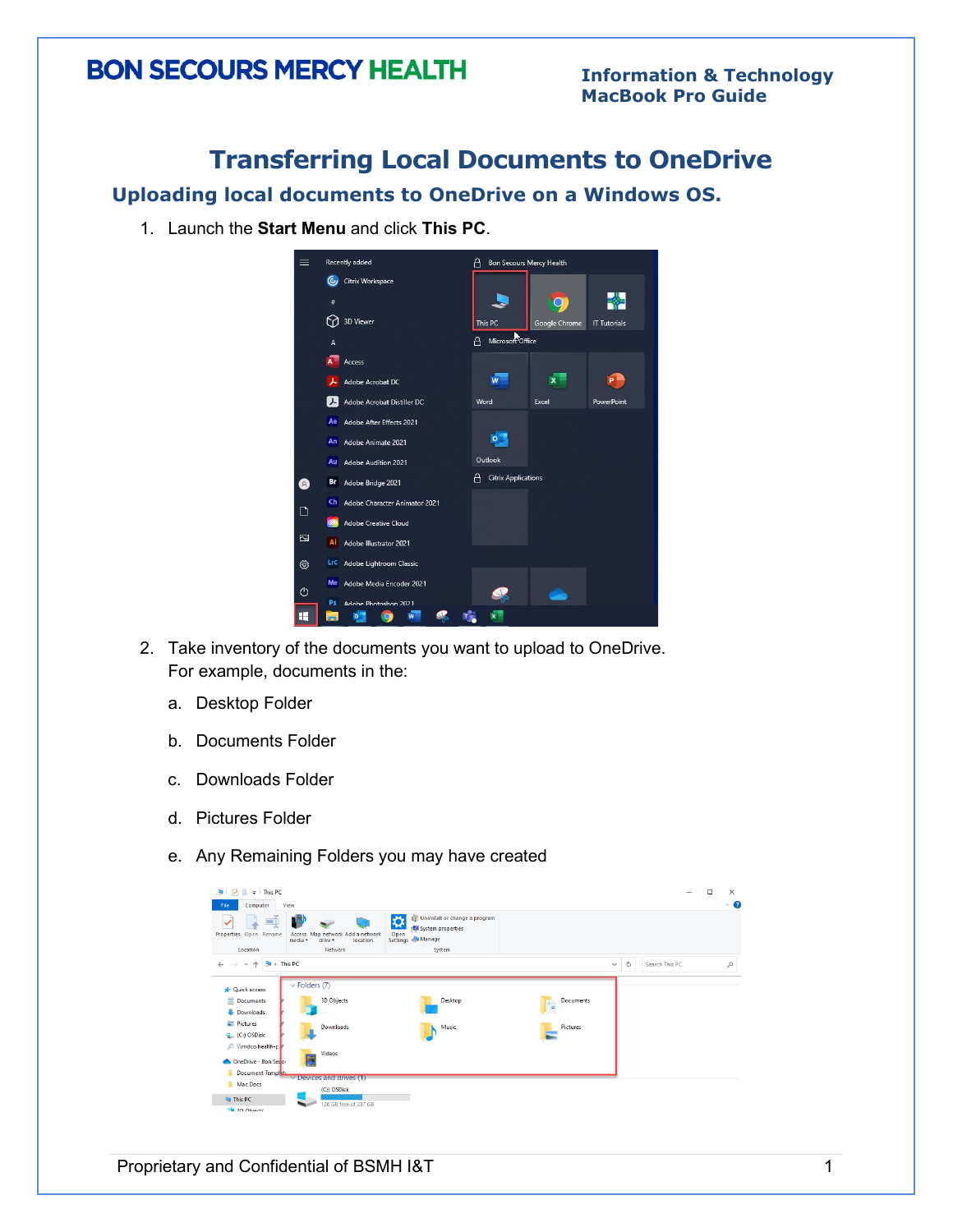### **Transferring Local Documents to OneDrive**

**Uploading local documents to OneDrive on a Windows OS.** 

1. Launch the **Start Menu** and click **This PC**.



- 2. Take inventory of the documents you want to upload to OneDrive. For example, documents in the:
	- a. Desktop Folder
	- b. Documents Folder
	- c. Downloads Folder
	- d. Pictures Folder
	- e. Any Remaining Folders you may have created

| $\overline{v}$   This PC<br>M<br>п.<br>J.<br>File<br>Computer                           | View                                                               |                                                                                                    |                       |   | -              | α | $\times$<br>$\sim$ $\bullet$ |
|-----------------------------------------------------------------------------------------|--------------------------------------------------------------------|----------------------------------------------------------------------------------------------------|-----------------------|---|----------------|---|------------------------------|
| $\Box$<br>Properties Open Rename                                                        | Access Map network Add a network<br>media *<br>drive -<br>location | [7] Uninstall or change a program<br>☆<br><b>E4</b> System properties<br>Open<br>Settings & Manage |                       |   |                |   |                              |
| Location                                                                                | Network                                                            | System                                                                                             |                       |   |                |   |                              |
| $\blacktriangleright$ This PC<br>个<br>$\leftarrow$<br>$\longrightarrow$<br>$\checkmark$ |                                                                    |                                                                                                    | $\checkmark$          | Ö | Search This PC |   | $\mathcal{L}$                |
| <b>Quick access</b>                                                                     | $\vee$ Folders (7)                                                 |                                                                                                    |                       |   |                |   |                              |
| <b>E</b> Documents<br>Downloads                                                         | <b>3D Objects</b>                                                  | <b>Desktop</b>                                                                                     | <b>Documents</b><br>Œ |   |                |   |                              |
| <b>Pictures</b><br><sup>1</sup> (C:) OSDisk                                             | Downloads                                                          | Music                                                                                              | Pictures              |   |                |   |                              |
| Mmdco.health-p<br>OneDrive - Bon Secon                                                  | <b>Videos</b>                                                      |                                                                                                    |                       |   |                |   |                              |
| Document Templatu                                                                       |                                                                    |                                                                                                    |                       |   |                |   |                              |
| Mac Docs                                                                                | $\vee$ Devices and drives (1)<br>(C:) OSDisk                       |                                                                                                    |                       |   |                |   |                              |
| <b>This PC</b>                                                                          | 126 GB free of 237 GB                                              |                                                                                                    |                       |   |                |   |                              |
| <b>Call 3D Objects</b>                                                                  |                                                                    |                                                                                                    |                       |   |                |   |                              |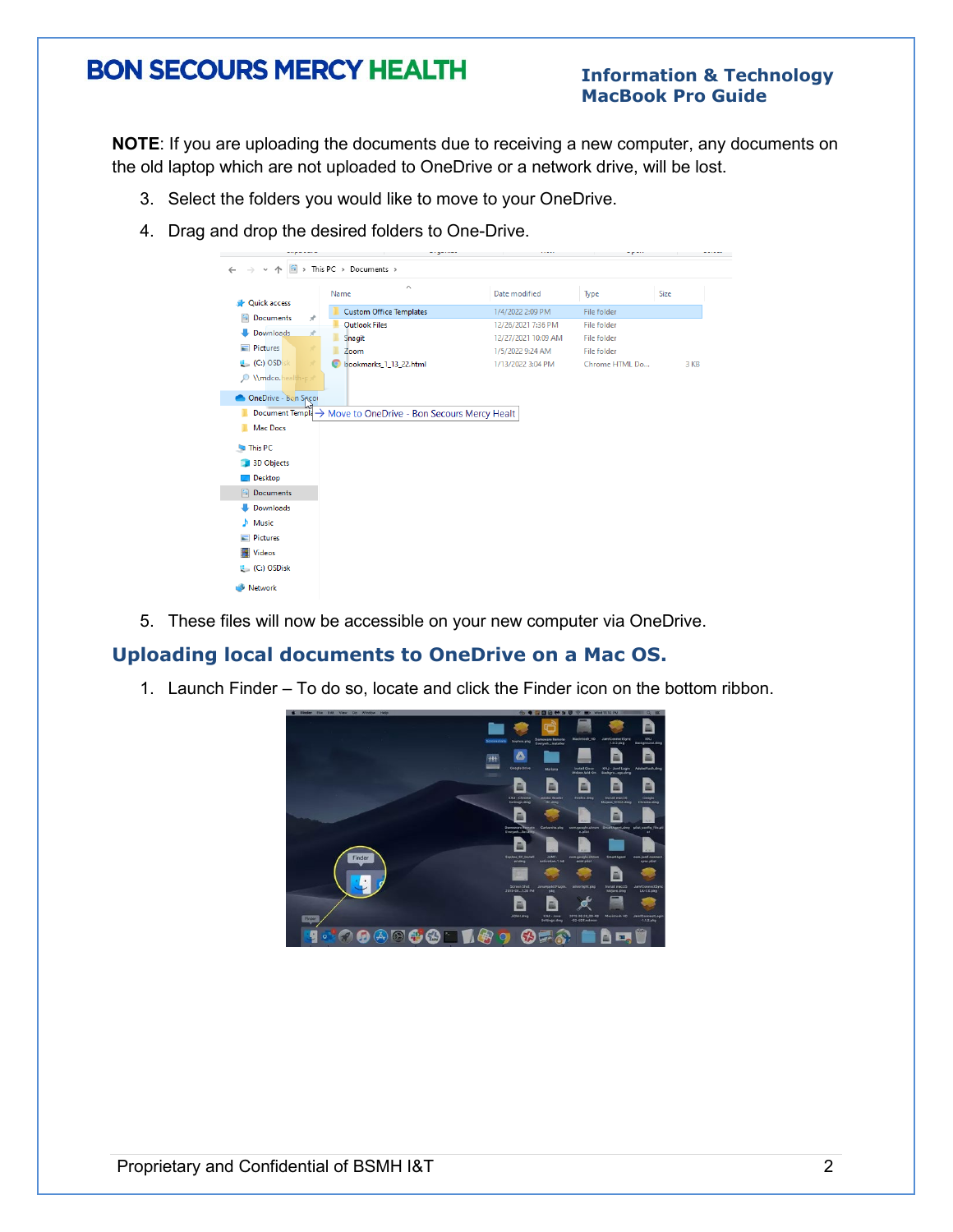#### **Information & Technology MacBook Pro Guide**

**NOTE**: If you are uploading the documents due to receiving a new computer, any documents on the old laptop which are not uploaded to OneDrive or a network drive, will be lost.

- 3. Select the folders you would like to move to your OneDrive.
- 4. Drag and drop the desired folders to One-Drive.

| $\checkmark$                        | ■ > This PC > Documents >                                    |                     |                    |      |
|-------------------------------------|--------------------------------------------------------------|---------------------|--------------------|------|
|                                     | $\wedge$<br>Name                                             | Date modified       | Type               | Size |
| <b>Duick access</b>                 | <b>Custom Office Templates</b>                               | 1/4/2022 2:09 PM    | File folder        |      |
| <b>E</b> Documents<br>$\mathcal{R}$ | Outlook Files                                                | 12/26/2021 7:36 PM  | File folder        |      |
| Downloads<br>$\mathcal{R}$          | Snagit                                                       | 12/27/2021 10:09 AM | <b>File folder</b> |      |
| Pictures<br>×                       | Zoom                                                         | 1/5/2022 9:24 AM    | File folder        |      |
| <b>E</b> (C:) OSDisk                | bookmarks_1_13_22.html                                       | 1/13/2022 3:04 PM   | Chrome HTML Do     | 3 KB |
| O \\mdco.health-px                  |                                                              |                     |                    |      |
|                                     |                                                              |                     |                    |      |
| OneDrive - Bon Spcor                |                                                              |                     |                    |      |
|                                     |                                                              |                     |                    |      |
|                                     | Document Temple → Move to OneDrive - Bon Secours Mercy Healt |                     |                    |      |
| <b>Mac Docs</b>                     |                                                              |                     |                    |      |
|                                     |                                                              |                     |                    |      |
| This PC                             |                                                              |                     |                    |      |
| <b>3D Objects</b>                   |                                                              |                     |                    |      |
| $\Box$ Desktop<br>Documents         |                                                              |                     |                    |      |
| Downloads                           |                                                              |                     |                    |      |
| Music                               |                                                              |                     |                    |      |
|                                     |                                                              |                     |                    |      |
| Pictures                            |                                                              |                     |                    |      |
| Videos                              |                                                              |                     |                    |      |
| $\mathbf{E}$ (C:) OSDisk            |                                                              |                     |                    |      |

5. These files will now be accessible on your new computer via OneDrive.

#### **Uploading local documents to OneDrive on a Mac OS.**

1. Launch Finder – To do so, locate and click the Finder icon on the bottom ribbon.

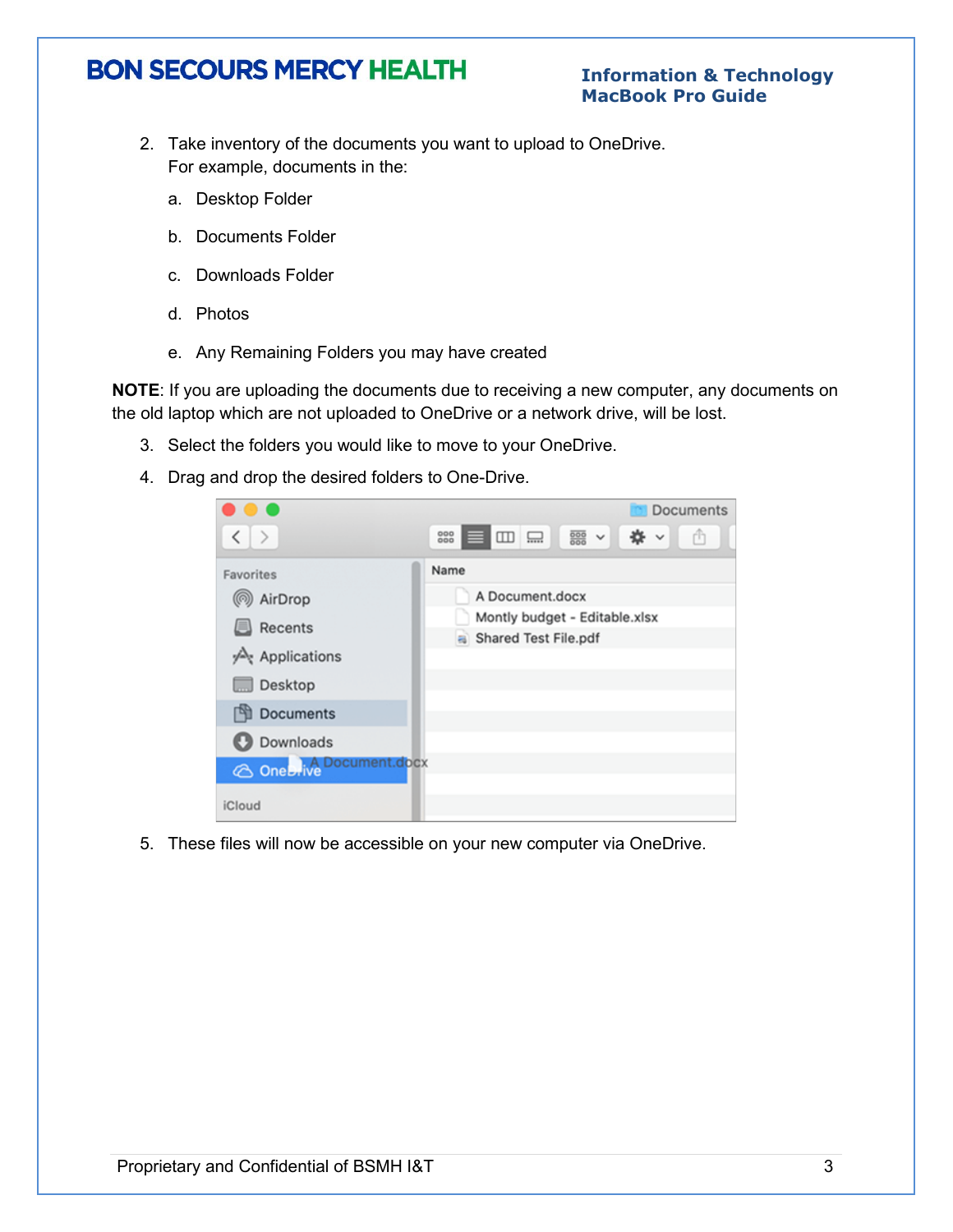#### **Information & Technology MacBook Pro Guide**

- 2. Take inventory of the documents you want to upload to OneDrive. For example, documents in the:
	- a. Desktop Folder
	- b. Documents Folder
	- c. Downloads Folder
	- d. Photos
	- e. Any Remaining Folders you may have created

**NOTE**: If you are uploading the documents due to receiving a new computer, any documents on the old laptop which are not uploaded to OneDrive or a network drive, will be lost.

- 3. Select the folders you would like to move to your OneDrive.
- 4. Drag and drop the desired folders to One-Drive.



5. These files will now be accessible on your new computer via OneDrive.